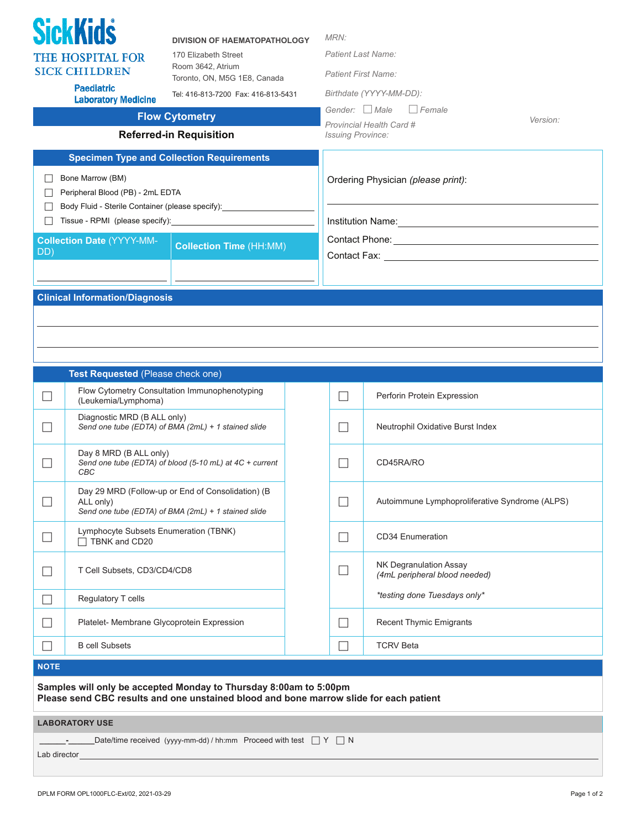| <b>SickKids</b><br><b>THE HOSPITAL FOR</b><br><b>SICK CHILDREN</b><br><b>Paediatric</b><br><b>Laboratory Medicine</b>                                                                                                                                                                        |                                                                  | MRN:<br><b>DIVISION OF HAEMATOPATHOLOGY</b><br><b>Patient Last Name:</b><br>170 Elizabeth Street<br>Room 3642, Atrium<br><b>Patient First Name:</b><br>Toronto, ON, M5G 1E8, Canada<br>Birthdate (YYYY-MM-DD):<br>Tel: 416-813-7200 Fax: 416-813-5431<br>Gender: $\Box$ Male<br>  Female<br><b>Flow Cytometry</b><br>Provincial Health Card #<br><b>Referred-in Requisition</b><br><b>Issuing Province:</b> |                             | Version:                                                                                       |  |  |
|----------------------------------------------------------------------------------------------------------------------------------------------------------------------------------------------------------------------------------------------------------------------------------------------|------------------------------------------------------------------|-------------------------------------------------------------------------------------------------------------------------------------------------------------------------------------------------------------------------------------------------------------------------------------------------------------------------------------------------------------------------------------------------------------|-----------------------------|------------------------------------------------------------------------------------------------|--|--|
| <b>Specimen Type and Collection Requirements</b><br>Bone Marrow (BM)<br>$\mathsf{L}$<br>Peripheral Blood (PB) - 2mL EDTA<br>Body Fluid - Sterile Container (please specify):<br>Tissue - RPMI (please specify):<br><b>Collection Date (YYYY-MM-</b><br><b>Collection Time (HH:MM)</b><br>DD) |                                                                  |                                                                                                                                                                                                                                                                                                                                                                                                             |                             | Ordering Physician (please print):                                                             |  |  |
| <b>Clinical Information/Diagnosis</b>                                                                                                                                                                                                                                                        |                                                                  |                                                                                                                                                                                                                                                                                                                                                                                                             |                             |                                                                                                |  |  |
|                                                                                                                                                                                                                                                                                              |                                                                  |                                                                                                                                                                                                                                                                                                                                                                                                             |                             |                                                                                                |  |  |
|                                                                                                                                                                                                                                                                                              | Test Requested (Please check one)                                | Flow Cytometry Consultation Immunophenotyping                                                                                                                                                                                                                                                                                                                                                               | $\Box$                      | Perforin Protein Expression                                                                    |  |  |
|                                                                                                                                                                                                                                                                                              | (Leukemia/Lymphoma)<br>Diagnostic MRD (B ALL only)               | Send one tube (EDTA) of BMA (2mL) + 1 stained slide                                                                                                                                                                                                                                                                                                                                                         |                             | Neutrophil Oxidative Burst Index                                                               |  |  |
|                                                                                                                                                                                                                                                                                              | Day 8 MRD (B ALL only)<br>CBC                                    | Send one tube (EDTA) of blood (5-10 mL) at 4C + current                                                                                                                                                                                                                                                                                                                                                     |                             | CD45RA/RO                                                                                      |  |  |
|                                                                                                                                                                                                                                                                                              | ALL only)                                                        | Day 29 MRD (Follow-up or End of Consolidation) (B<br>Send one tube (EDTA) of BMA (2mL) + 1 stained slide                                                                                                                                                                                                                                                                                                    |                             | Autoimmune Lymphoproliferative Syndrome (ALPS)                                                 |  |  |
| $\Box$                                                                                                                                                                                                                                                                                       | Lymphocyte Subsets Enumeration (TBNK)<br>TBNK and CD20           |                                                                                                                                                                                                                                                                                                                                                                                                             | $\Box$                      | <b>CD34 Enumeration</b>                                                                        |  |  |
|                                                                                                                                                                                                                                                                                              | T Cell Subsets, CD3/CD4/CD8                                      |                                                                                                                                                                                                                                                                                                                                                                                                             | $\mathcal{L}_{\mathcal{A}}$ | <b>NK Degranulation Assay</b><br>(4mL peripheral blood needed)<br>*testing done Tuesdays only* |  |  |
| $\overline{\phantom{0}}$<br>$\mathcal{L}$                                                                                                                                                                                                                                                    | Regulatory T cells<br>Platelet- Membrane Glycoprotein Expression |                                                                                                                                                                                                                                                                                                                                                                                                             | $\Box$                      | <b>Recent Thymic Emigrants</b>                                                                 |  |  |
|                                                                                                                                                                                                                                                                                              | <b>B</b> cell Subsets                                            |                                                                                                                                                                                                                                                                                                                                                                                                             | $\Box$                      | <b>TCRV Beta</b>                                                                               |  |  |
| <b>NOTE</b>                                                                                                                                                                                                                                                                                  |                                                                  |                                                                                                                                                                                                                                                                                                                                                                                                             |                             |                                                                                                |  |  |

| <b>LABORATORY USE</b> |  |
|-----------------------|--|
|-----------------------|--|

**\_-**\_\_\_\_\_\_Date/time received (yyyy-mm-dd) / hh:mm Proceed with test  $\Box$  Y  $\Box$  N

Lab director\_